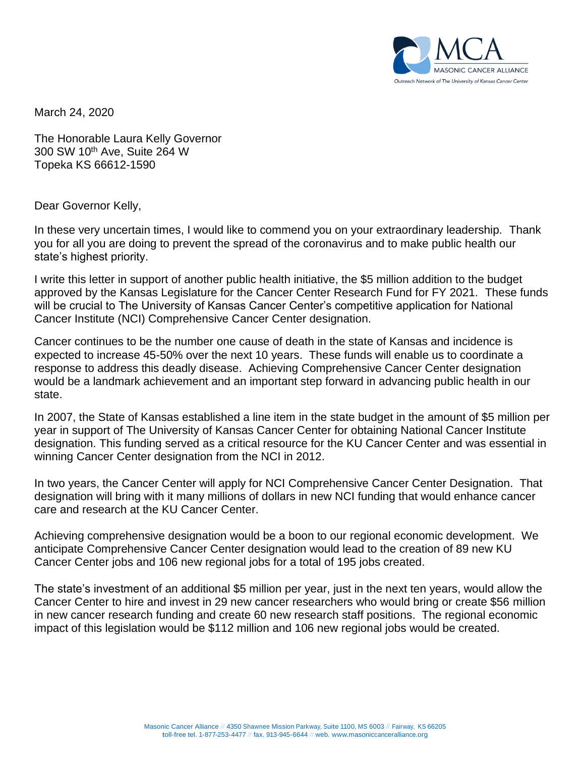

March 24, 2020

The Honorable Laura Kelly Governor 300 SW 10th Ave, Suite 264 W Topeka KS 66612-1590

Dear Governor Kelly,

In these very uncertain times, I would like to commend you on your extraordinary leadership. Thank you for all you are doing to prevent the spread of the coronavirus and to make public health our state's highest priority.

I write this letter in support of another public health initiative, the \$5 million addition to the budget approved by the Kansas Legislature for the Cancer Center Research Fund for FY 2021. These funds will be crucial to The University of Kansas Cancer Center's competitive application for National Cancer Institute (NCI) Comprehensive Cancer Center designation.

Cancer continues to be the number one cause of death in the state of Kansas and incidence is expected to increase 45-50% over the next 10 years. These funds will enable us to coordinate a response to address this deadly disease. Achieving Comprehensive Cancer Center designation would be a landmark achievement and an important step forward in advancing public health in our state.

In 2007, the State of Kansas established a line item in the state budget in the amount of \$5 million per year in support of The University of Kansas Cancer Center for obtaining National Cancer Institute designation. This funding served as a critical resource for the KU Cancer Center and was essential in winning Cancer Center designation from the NCI in 2012.

In two years, the Cancer Center will apply for NCI Comprehensive Cancer Center Designation. That designation will bring with it many millions of dollars in new NCI funding that would enhance cancer care and research at the KU Cancer Center.

Achieving comprehensive designation would be a boon to our regional economic development. We anticipate Comprehensive Cancer Center designation would lead to the creation of 89 new KU Cancer Center jobs and 106 new regional jobs for a total of 195 jobs created.

The state's investment of an additional \$5 million per year, just in the next ten years, would allow the Cancer Center to hire and invest in 29 new cancer researchers who would bring or create \$56 million in new cancer research funding and create 60 new research staff positions. The regional economic impact of this legislation would be \$112 million and 106 new regional jobs would be created.